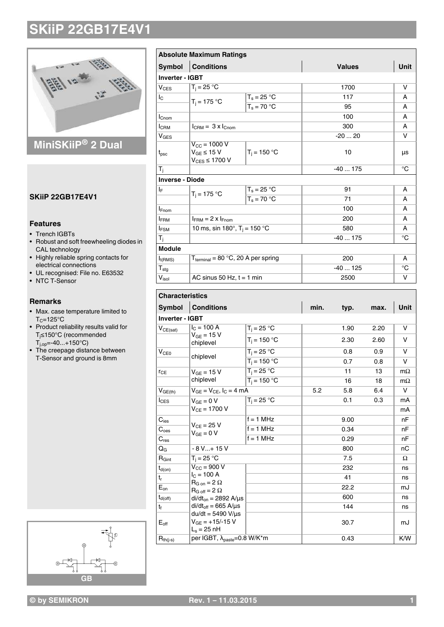

## **MiniSKiiP® 2 Dual**

## **SKiiP 22GB17E4V1**

## **Features**

- Trench IGBTs
- Robust and soft freewheeling diodes in CAL technology
- Highly reliable spring contacts for
- electrical connections • UL recognised: File no. E63532
- NTC T-Sensor

### **Remarks**

- Max. case temperature limited to  $T_C = 125$ °C
- Product reliability results valid for Tj≤150°C (recommended  $T_{i,op}$ =-40...+150 $^{\circ}$ C)
- The creepage distance between T-Sensor and ground is 8mm



|                           | <b>Absolute Maximum Ratings</b>                                         |                |          |               |          |           |  |
|---------------------------|-------------------------------------------------------------------------|----------------|----------|---------------|----------|-----------|--|
| <b>Symbol</b>             | <b>Conditions</b>                                                       |                |          | <b>Values</b> |          | Unit      |  |
| <b>Inverter - IGBT</b>    |                                                                         |                |          |               |          |           |  |
| $V_{CES}$                 | $T_i = 25 °C$                                                           |                |          | 1700          |          |           |  |
| Ιc                        | $T_i = 175 °C$                                                          | $T_s = 25 °C$  |          | 117           |          | A         |  |
|                           |                                                                         | $T_s = 70 °C$  |          | 95            |          | A         |  |
| <b>I</b> Cnom             |                                                                         |                |          | 100           |          | A         |  |
| <b>I</b> CRM              | $I_{\text{CRM}} = 3 \times I_{\text{Chom}}$                             |                | 300      |               |          |           |  |
| <b>V<sub>GES</sub></b>    |                                                                         |                | -20  20  |               |          |           |  |
| $t_{\rm psc}$             | $V_{\text{CC}}$ = 1000 V<br>$V_{GE} \leq 15 V$<br>$V_{CES} \leq 1700 V$ | $T_i = 150 °C$ |          | 10            |          | μs        |  |
| T <sub>j</sub>            |                                                                         |                |          | $-40175$      |          | °C        |  |
| <b>Inverse - Diode</b>    |                                                                         |                |          |               |          |           |  |
| I⊧                        | $T_i = 175 °C$                                                          | $T_s = 25 °C$  |          | 91            |          |           |  |
|                           |                                                                         | $T_s = 70 °C$  |          | 71            |          | A         |  |
| <b>I</b> Fnom             |                                                                         |                |          | 100           |          | A         |  |
| <b>IFRM</b>               | $I_{FRM}$ = 2 x $I_{Fnom}$                                              |                |          | 200           |          |           |  |
| $I_{FSM}$                 | 10 ms, sin 180 $^{\circ}$ , T <sub>i</sub> = 150 $^{\circ}$ C           |                |          | 580           |          |           |  |
| T <sub>j</sub>            |                                                                         |                |          |               | $-40175$ |           |  |
| Module                    |                                                                         |                |          |               |          |           |  |
| $I_{t(RMS)}$              | $T_{\text{terminal}} = 80 \text{ °C}, 20 \text{ A per spring}$          |                | 200      |               |          |           |  |
| $\mathsf{T}_{\text{stg}}$ |                                                                         |                | $-40125$ |               |          |           |  |
| V <sub>isol</sub>         | AC sinus 50 Hz, $t = 1$ min                                             |                | 2500     |               |          |           |  |
| <b>Characteristics</b>    |                                                                         |                |          |               |          |           |  |
| <b>Symbol</b>             | <b>Conditions</b>                                                       |                | min.     | typ.          | max.     | Unit      |  |
| Inverter - IGBT           |                                                                         |                |          |               |          |           |  |
| $V_{CE(sat)}$             | $I_C = 100 A$                                                           | $T_i = 25 °C$  |          | 1.90          | 2.20     | v         |  |
|                           | $V_{GE}$ = 15 V<br>chiplevel                                            | $T_j = 150 °C$ |          | 2.30          | 2.60     | v         |  |
| V <sub>CE0</sub>          | chiplevel                                                               | $T_i = 25 °C$  |          | 0.8           | 0.9      | v         |  |
|                           |                                                                         | $T_i = 150 °C$ |          | 0.7           | 0.8      | v         |  |
| $r_{CE}$                  | $V_{GE}$ = 15 V<br>chiplevel                                            | $T_i = 25 °C$  |          | 11            | 13       | $m\Omega$ |  |
|                           |                                                                         | $T_i = 150 °C$ |          | 16            | 18       | $m\Omega$ |  |
| $V_{GE(th)}$              | $V_{GE} = V_{CE}$ , $I_C = 4 \overline{mA}$                             |                | 5.2      | 5.8           | 6.4      | v         |  |
| $I_{\text{CES}}$          | $V_{GE} = 0 V$<br>$V_{CE} = 1700 V$                                     | $T_i = 25 °C$  |          | 0.1           | 0.3      | mA        |  |
|                           |                                                                         |                |          |               |          | mA        |  |
| $C_{\text{ies}}$          |                                                                         | $f = 1$ MHz    |          | 9.00          |          | nF        |  |
| $\mathbf{C}_{\text{oes}}$ | $V_{CE} = 25 V$<br>$V_{GE} = 0 V$                                       | $f = 1$ MHz    |          | 0.34          |          | nF        |  |
| $C_{res}$                 |                                                                         | $f = 1$ MHz    |          | 0.29          |          |           |  |

#### $R_{Gint}$   $T_j = 25 \degree C$  7.5  $\Omega$  $t_{d(on)}$   $V_{CC} = 900 V$  $I_{C}$  = 100 A  $R_{G \text{ on}} = 2 \Omega$  $E_{on}$   $R_{G \text{ off}}^{\text{C}} = 2 \Omega$  mJ  $t_{d(off)}$   $\left| \frac{di/dt_{on}}{2892} \right|$   $A/\mu s$   $\left| \frac{di}{d\mu} \right|$   $600$   $\left| \frac{di}{d\mu} \right|$  ns  $t_f$  | di/dt<sub>off</sub> = 665 A/µs |  $\hbox{144}$  | ns du/dt =  $5490 V/\mu s$  $\mathsf{E}_{\mathsf{off}}$  |  $\mathsf{V}_{\mathsf{GE}}$  = +15/-15 V |  $\;$  30.7 | mJ  $L_s = 25 \text{ nH}$ 232 ns t<sup>r</sup> 41 ns  $R_{th(i-s)}$  per IGBT,  $\lambda_{\text{paste}} = 0.8 \text{ W/K}^* \text{m}$  0.43 K/W

 $Q_G$  - 8 V...+ 15 V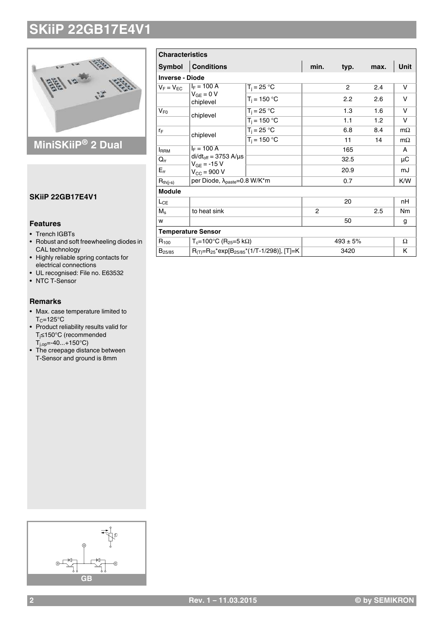

## **MiniSKiiP® 2 Dual**

## **SKiiP 22GB17E4V1**

## **Features**

- Trench IGBTs
- Robust and soft freewheeling diodes in CAL technology
- Highly reliable spring contacts for
- electrical connections • UL recognised: File no. E63532
- NTC T-Sensor
- 

## **Remarks**

- Max. case temperature limited to  $T_C = 125$ °C
- Product reliability results valid for Tj≤150°C (recommended  $T_{j,op} = -40...+150^{\circ}C$
- The creepage distance between T-Sensor and ground is 8mm

| <b>Characteristics</b> |                                                               |                |              |                |             |           |  |  |  |
|------------------------|---------------------------------------------------------------|----------------|--------------|----------------|-------------|-----------|--|--|--|
| <b>Symbol</b>          | <b>Conditions</b>                                             | min.           | typ.         | max.           | <b>Unit</b> |           |  |  |  |
| <b>Inverse - Diode</b> |                                                               |                |              |                |             |           |  |  |  |
| $V_F = V_{FC}$         | $I_F = 100 A$                                                 | $T_i = 25 °C$  |              | $\overline{2}$ | 2.4         | v         |  |  |  |
|                        | $V_{GF} = 0 V$<br>chiplevel                                   | $T_i = 150 °C$ |              | 2.2            | 2.6         | v         |  |  |  |
| $V_{F0}$               | chiplevel                                                     | $T_i = 25 °C$  |              | 1.3            | 1.6         | v         |  |  |  |
|                        |                                                               | $T_i = 150 °C$ |              | 1.1            | 1.2         | v         |  |  |  |
| ľF                     | chiplevel                                                     | $T_i = 25 °C$  |              | 6.8            | 8.4         | $m\Omega$ |  |  |  |
|                        |                                                               | $T_i = 150 °C$ |              | 11             | 14          | $m\Omega$ |  |  |  |
| <b>IRRM</b>            | $I_F = 100 A$                                                 |                |              | 165            |             | A         |  |  |  |
| $Q_{rr}$               | $di/dt_{off} = 3753$ A/ $\mu$ s<br>$V_{GF} = -15 V$           |                |              | 32.5           |             | μC        |  |  |  |
| $E_{rr}$               | $V_{\rm CC} = 900 V$                                          |                |              | 20.9           |             | mJ        |  |  |  |
| $R_{th(j-s)}$          | per Diode, λ <sub>paste</sub> =0.8 W/K*m                      |                |              | 0.7            |             | K/W       |  |  |  |
| <b>Module</b>          |                                                               |                |              |                |             |           |  |  |  |
| $L_{CE}$               |                                                               |                |              | 20             |             | nH        |  |  |  |
| $M_s$                  | to heat sink                                                  |                | 2            |                | 2.5         | Nm        |  |  |  |
| w                      |                                                               |                |              | 50             |             | g         |  |  |  |
|                        | <b>Temperature Sensor</b>                                     |                |              |                |             |           |  |  |  |
| $R_{100}$              | $T_c = 100^{\circ}$ C (R <sub>25</sub> =5 kΩ)                 |                | $493 \pm 5%$ |                |             | Ω         |  |  |  |
| $B_{25/85}$            | $R_{(T)}=R_{25}$ *exp[B <sub>25/85</sub> *(1/T-1/298)], [T]=K |                |              | 3420           |             | K         |  |  |  |

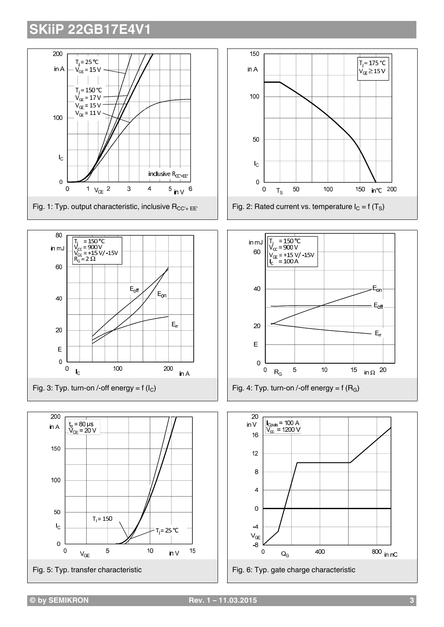









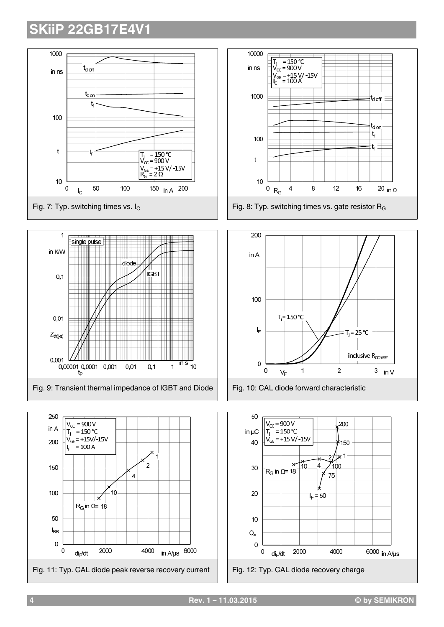